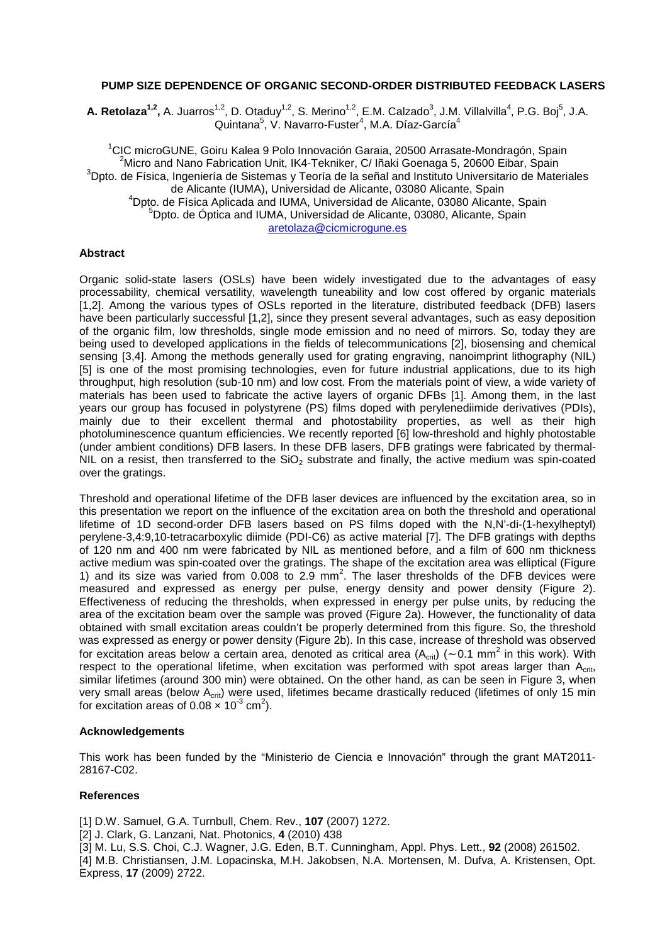## **PUMP SIZE DEPENDENCE OF ORGANIC SECOND-ORDER DISTRIBUTED FEEDBACK LASERS**

A. Retolaza<sup>1,2</sup>, A. Juarros<sup>1,2</sup>, D. Otaduy<sup>1,2</sup>, S. Merino<sup>1,2</sup>, E.M. Calzado<sup>3</sup>, J.M. Villalvilla<sup>4</sup>, P.G. Boj<sup>5</sup>, J.A. Quintana<sup>5</sup>, V. Navarro-Fuster<sup>4</sup>, M.A. Díaz-García<sup>4</sup>

<sup>1</sup>CIC microGUNE, Goiru Kalea 9 Polo Innovación Garaia, 20500 Arrasate-Mondragón, Spain  $^2$ Micro and Nano Fabrication Unit, IK4-Tekniker, C/ Iñaki Goenaga 5, 20600 Eibar, Spain <sup>3</sup>Dpto. de Física, Ingeniería de Sistemas y Teoría de la señal and Instituto Universitario de Materiales de Alicante (IUMA), Universidad de Alicante, 03080 Alicante, Spain <sup>4</sup>Dpto. de Física Aplicada and IUMA, Universidad de Alicante, 03080 Alicante, Spain <sup>5</sup>Dpto. de Óptica and IUMA, Universidad de Alicante, 03080, Alicante, Spain aretolaza@cicmicrogune.es

## **Abstract**

Organic solid-state lasers (OSLs) have been widely investigated due to the advantages of easy processability, chemical versatility, wavelength tuneability and low cost offered by organic materials [1,2]. Among the various types of OSLs reported in the literature, distributed feedback (DFB) lasers have been particularly successful [1,2], since they present several advantages, such as easy deposition of the organic film, low thresholds, single mode emission and no need of mirrors. So, today they are being used to developed applications in the fields of telecommunications [2], biosensing and chemical sensing [3,4]. Among the methods generally used for grating engraving, nanoimprint lithography (NIL) [5] is one of the most promising technologies, even for future industrial applications, due to its high throughput, high resolution (sub-10 nm) and low cost. From the materials point of view, a wide variety of materials has been used to fabricate the active layers of organic DFBs [1]. Among them, in the last years our group has focused in polystyrene (PS) films doped with perylenediimide derivatives (PDIs), mainly due to their excellent thermal and photostability properties, as well as their high photoluminescence quantum efficiencies. We recently reported [6] low-threshold and highly photostable (under ambient conditions) DFB lasers. In these DFB lasers, DFB gratings were fabricated by thermal-NIL on a resist, then transferred to the  $SiO<sub>2</sub>$  substrate and finally, the active medium was spin-coated over the gratings.

Threshold and operational lifetime of the DFB laser devices are influenced by the excitation area, so in this presentation we report on the influence of the excitation area on both the threshold and operational lifetime of 1D second-order DFB lasers based on PS films doped with the N,N'-di-(1-hexylheptyl) perylene-3,4:9,10-tetracarboxylic diimide (PDI-C6) as active material [7]. The DFB gratings with depths of 120 nm and 400 nm were fabricated by NIL as mentioned before, and a film of 600 nm thickness active medium was spin-coated over the gratings. The shape of the excitation area was elliptical (Figure 1) and its size was varied from  $0.008$  to  $2.9$  mm<sup>2</sup>. The laser thresholds of the DFB devices were measured and expressed as energy per pulse, energy density and power density (Figure 2). Effectiveness of reducing the thresholds, when expressed in energy per pulse units, by reducing the area of the excitation beam over the sample was proved (Figure 2a). However, the functionality of data obtained with small excitation areas couldn't be properly determined from this figure. So, the threshold was expressed as energy or power density (Figure 2b). In this case, increase of threshold was observed for excitation areas below a certain area, denoted as critical area (A<sub>crit</sub>) (~ 0.1 mm<sup>2</sup> in this work). With respect to the operational lifetime, when excitation was performed with spot areas larger than A<sub>crit</sub>. similar lifetimes (around 300 min) were obtained. On the other hand, as can be seen in Figure 3, when very small areas (below A<sub>crit</sub>) were used, lifetimes became drastically reduced (lifetimes of only 15 min for excitation areas of  $0.08 \times 10^{-3}$  cm<sup>2</sup>).

## **Acknowledgements**

This work has been funded by the "Ministerio de Ciencia e Innovación" through the grant MAT2011- 28167-C02.

## **References**

[1] D.W. Samuel, G.A. Turnbull, Chem. Rev., **107** (2007) 1272.

[2] J. Clark, G. Lanzani, Nat. Photonics, **4** (2010) 438

[3] M. Lu, S.S. Choi, C.J. Wagner, J.G. Eden, B.T. Cunningham, Appl. Phys. Lett., **92** (2008) 261502. [4] M.B. Christiansen, J.M. Lopacinska, M.H. Jakobsen, N.A. Mortensen, M. Dufva, A. Kristensen, Opt. Express, **17** (2009) 2722.